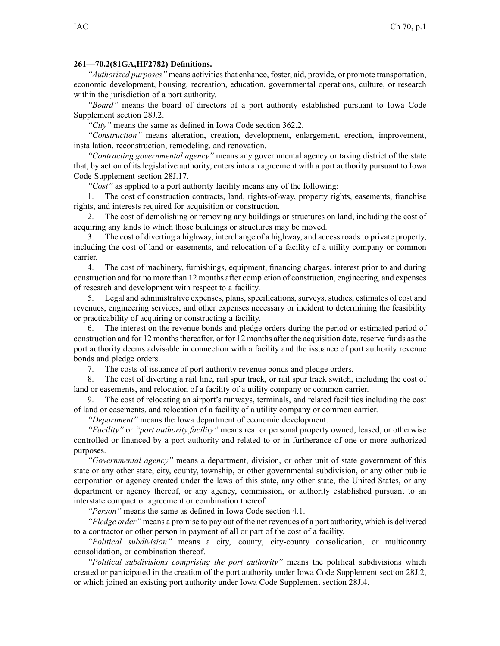## **261—70.2(81GA,HF2782) Definitions.**

*"Authorized purposes"* means activities that enhance, foster, aid, provide, or promote transportation, economic development, housing, recreation, education, governmental operations, culture, or research within the jurisdiction of <sup>a</sup> por<sup>t</sup> authority.

*"Board"* means the board of directors of <sup>a</sup> por<sup>t</sup> authority established pursuan<sup>t</sup> to Iowa Code Supplement section 28J.2.

*"City"* means the same as defined in Iowa Code section 362.2.

*"Construction"* means alteration, creation, development, enlargement, erection, improvement, installation, reconstruction, remodeling, and renovation.

*"Contracting governmental agency"* means any governmental agency or taxing district of the state that, by action of its legislative authority, enters into an agreemen<sup>t</sup> with <sup>a</sup> por<sup>t</sup> authority pursuan<sup>t</sup> to Iowa Code Supplement section 28J.17.

*"Cost"* as applied to <sup>a</sup> por<sup>t</sup> authority facility means any of the following:

1. The cost of construction contracts, land, rights-of-way, property rights, easements, franchise rights, and interests required for acquisition or construction.

2. The cost of demolishing or removing any buildings or structures on land, including the cost of acquiring any lands to which those buildings or structures may be moved.

3. The cost of diverting <sup>a</sup> highway, interchange of <sup>a</sup> highway, and access roads to private property, including the cost of land or easements, and relocation of <sup>a</sup> facility of <sup>a</sup> utility company or common carrier.

4. The cost of machinery, furnishings, equipment, financing charges, interest prior to and during construction and for no more than 12 months after completion of construction, engineering, and expenses of research and development with respec<sup>t</sup> to <sup>a</sup> facility.

5. Legal and administrative expenses, plans, specifications, surveys, studies, estimates of cost and revenues, engineering services, and other expenses necessary or incident to determining the feasibility or practicability of acquiring or constructing <sup>a</sup> facility.

6. The interest on the revenue bonds and pledge orders during the period or estimated period of construction and for 12 months thereafter, or for 12 months after the acquisition date, reserve funds as the por<sup>t</sup> authority deems advisable in connection with <sup>a</sup> facility and the issuance of por<sup>t</sup> authority revenue bonds and pledge orders.

7. The costs of issuance of por<sup>t</sup> authority revenue bonds and pledge orders.

8. The cost of diverting <sup>a</sup> rail line, rail spur track, or rail spur track switch, including the cost of land or easements, and relocation of <sup>a</sup> facility of <sup>a</sup> utility company or common carrier.

9. The cost of relocating an airport's runways, terminals, and related facilities including the cost of land or easements, and relocation of <sup>a</sup> facility of <sup>a</sup> utility company or common carrier.

*"Department"* means the Iowa department of economic development.

*"Facility"* or *"port authority facility"* means real or personal property owned, leased, or otherwise controlled or financed by <sup>a</sup> por<sup>t</sup> authority and related to or in furtherance of one or more authorized purposes.

*"Governmental agency"* means <sup>a</sup> department, division, or other unit of state governmen<sup>t</sup> of this state or any other state, city, county, township, or other governmental subdivision, or any other public corporation or agency created under the laws of this state, any other state, the United States, or any department or agency thereof, or any agency, commission, or authority established pursuan<sup>t</sup> to an interstate compac<sup>t</sup> or agreemen<sup>t</sup> or combination thereof.

*"Person"* means the same as defined in Iowa Code section 4.1.

*"Pledge order"* means <sup>a</sup> promise to pay out of the net revenues of <sup>a</sup> por<sup>t</sup> authority, which is delivered to <sup>a</sup> contractor or other person in paymen<sup>t</sup> of all or par<sup>t</sup> of the cost of <sup>a</sup> facility.

*"Political subdivision"* means <sup>a</sup> city, county, city-county consolidation, or multicounty consolidation, or combination thereof.

*"Political subdivisions comprising the por<sup>t</sup> authority"* means the political subdivisions which created or participated in the creation of the por<sup>t</sup> authority under Iowa Code Supplement section 28J.2, or which joined an existing por<sup>t</sup> authority under Iowa Code Supplement section 28J.4.